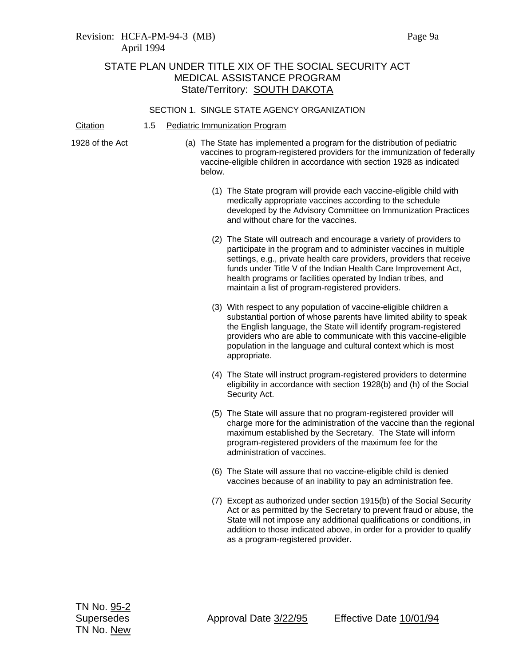## Revision: HCFA-PM-94-3 (MB) Page 9a April 1994

## STATE PLAN UNDER TITLE XIX OF THE SOCIAL SECURITY ACT MEDICAL ASSISTANCE PROGRAM State/Territory: SOUTH DAKOTA

#### SECTION 1. SINGLE STATE AGENCY ORGANIZATION

#### Citation 1.5 Pediatric Immunization Program

- 1928 of the Act (a) The State has implemented a program for the distribution of pediatric vaccines to program-registered providers for the immunization of federally vaccine-eligible children in accordance with section 1928 as indicated below.
	- (1) The State program will provide each vaccine-eligible child with medically appropriate vaccines according to the schedule developed by the Advisory Committee on Immunization Practices and without chare for the vaccines.
	- (2) The State will outreach and encourage a variety of providers to participate in the program and to administer vaccines in multiple settings, e.g., private health care providers, providers that receive funds under Title V of the Indian Health Care Improvement Act, health programs or facilities operated by Indian tribes, and maintain a list of program-registered providers.
	- (3) With respect to any population of vaccine-eligible children a substantial portion of whose parents have limited ability to speak the English language, the State will identify program-registered providers who are able to communicate with this vaccine-eligible population in the language and cultural context which is most appropriate.
	- (4) The State will instruct program-registered providers to determine eligibility in accordance with section 1928(b) and (h) of the Social Security Act.
	- (5) The State will assure that no program-registered provider will charge more for the administration of the vaccine than the regional maximum established by the Secretary. The State will inform program-registered providers of the maximum fee for the administration of vaccines.
	- (6) The State will assure that no vaccine-eligible child is denied vaccines because of an inability to pay an administration fee.
	- (7) Except as authorized under section 1915(b) of the Social Security Act or as permitted by the Secretary to prevent fraud or abuse, the State will not impose any additional qualifications or conditions, in addition to those indicated above, in order for a provider to qualify as a program-registered provider.